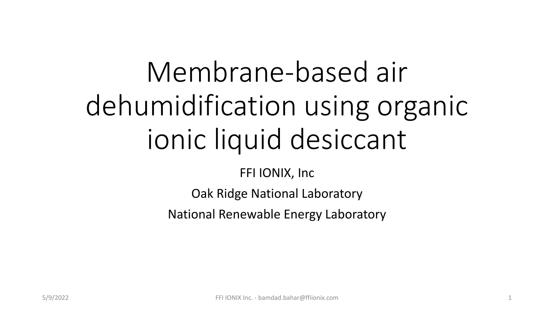# Membrane-based air dehumidification using organic ionic liquid desiccant

FFI IONIX, Inc

Oak Ridge National Laboratory

National Renewable Energy Laboratory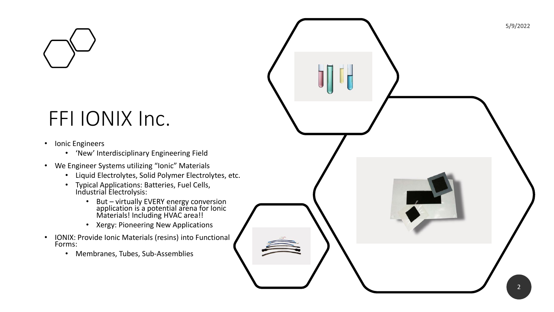

#### FFI IONIX Inc.

- Ionic Engineers
	- 'New' Interdisciplinary Engineering Field
- We Engineer Systems utilizing "Ionic" Materials
	- Liquid Electrolytes, Solid Polymer Electrolytes, etc.
	- Typical Applications: Batteries, Fuel Cells, Industrial Electrolysis:
		- But virtually EVERY energy conversion application is a potential arena for Ionic Materials! Including HVAC area!!
		- Xergy: Pioneering New Applications
- IONIX: Provide Ionic Materials (resins) into Functional Forms:
	- Membranes, Tubes, Sub -Assemblies

5/9/2022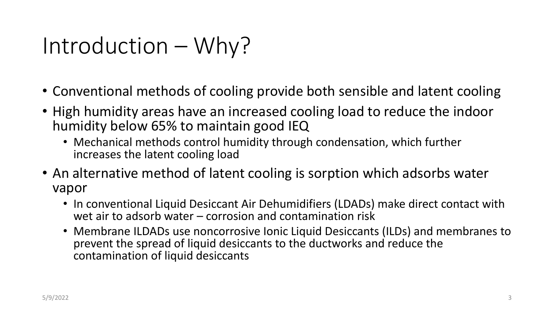#### Introduction – Why?

- Conventional methods of cooling provide both sensible and latent cooling
- High humidity areas have an increased cooling load to reduce the indoor humidity below 65% to maintain good IEQ
	- Mechanical methods control humidity through condensation, which further increases the latent cooling load
- An alternative method of latent cooling is sorption which adsorbs water vapor
	- In conventional Liquid Desiccant Air Dehumidifiers (LDADs) make direct contact with wet air to adsorb water – corrosion and contamination risk
	- Membrane ILDADs use noncorrosive Ionic Liquid Desiccants (ILDs) and membranes to prevent the spread of liquid desiccants to the ductworks and reduce the contamination of liquid desiccants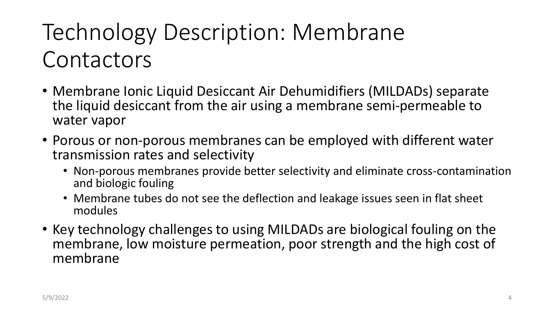# Technology Description: Membrane **Contactors**

- Membrane Ionic Liquid Desiccant Air Dehumidifiers (MILDADs) separate the liquid desiccant from the air using a membrane semi-permeable to water vapor
- Porous or non-porous membranes can be employed with different water transmission rates and selectivity
	- Non-porous membranes provide better selectivity and eliminate cross-contamination and biologic fouling
	- Membrane tubes do not see the deflection and leakage issues seen in flat sheet modules
- Key technology challenges to using MILDADs are biological fouling on the membrane, low moisture permeation, poor strength and the high cost of membrane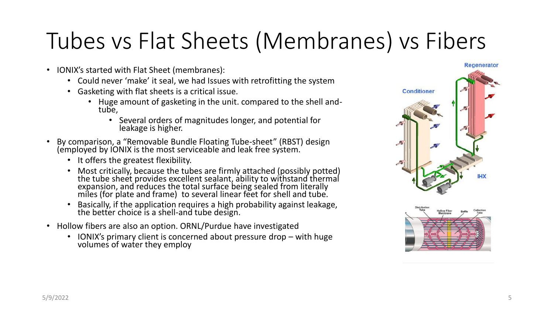# Tubes vs Flat Sheets (Membranes) vs Fibers

- IONIX's started with Flat Sheet (membranes):
	- Could never 'make' it seal, we had Issues with retrofitting the system
	- Gasketing with flat sheets is a critical issue.
		- Huge amount of gasketing in the unit. compared to the shell andtube,
			- Several orders of magnitudes longer, and potential for leakage is higher.
- By comparison, a "Removable Bundle Floating Tube-sheet" (RBST) design (employed by IONIX is the most serviceable and leak free system.
	- It offers the greatest flexibility.
	- Most critically, because the tubes are firmly attached (possibly potted) the tube sheet provides excellent sealant, ability to withstand thermal expansion, and reduces the total surface being sealed from literally miles (for plate and frame) to several linear feet for shell and tube.
	- Basically, if the application requires a high probability against leakage, the better choice is a shell-and tube design.  $\,$
- Hollow fibers are also an option. ORNL/Purdue have investigated
	- IONIX's primary client is concerned about pressure drop with huge volumes of water they employ



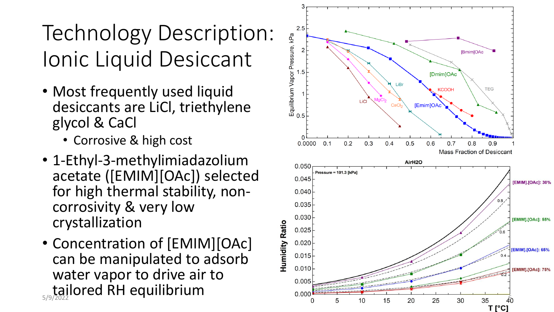# Technology Description: Ionic Liquid Desiccant

- Most frequently used liquid desiccants are LiCl, triethylene glycol & CaCl
	- Corrosive & high cost
- 1-Ethyl-3-methylimiadazolium acetate ([EMIM][OAc]) selected for high thermal stability, non corrosivity & very low crystallization
- Concentration of [EMIM][OAc] can be manipulated to adsorb water vapor to drive air to <sub>5/9/2022</sub> lored RH equilibrium

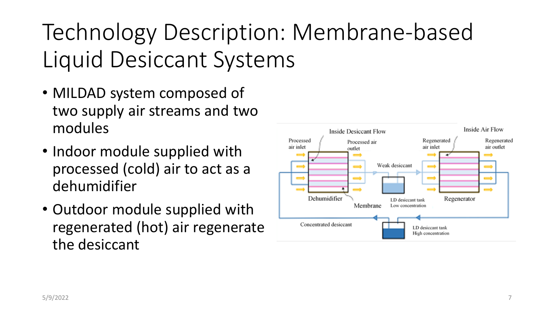# Technology Description: Membrane-based Liquid Desiccant Systems

- MILDAD system composed of two supply air streams and two modules
- Indoor module supplied with processed (cold) air to act as a dehumidifier
- Outdoor module supplied with regenerated (hot) air regenerate the desiccant

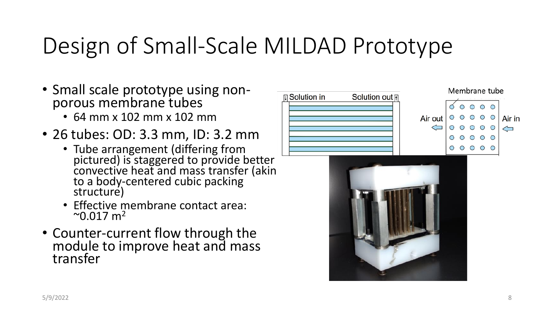# Design of Small-Scale MILDAD Prototype

- Small scale prototype using nonporous membrane tubes
	- 64 mm x 102 mm x 102 mm
- 26 tubes: OD: 3.3 mm, ID: 3.2 mm
	- Tube arrangement (differing from pictured) is staggered to provide better convective heat and mass transfer (akin to a body-centered cubic packing structure)
	- Effective membrane contact area:  $^{\circ}$ 0.017 m<sup>2</sup>
- Counter-current flow through the module to improve heat and mass transfer



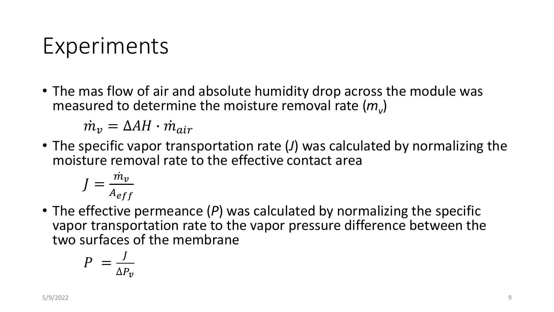#### Experiments

• The mas flow of air and absolute humidity drop across the module was measured to determine the moisture removal rate (*m<sup>v</sup>* )

 $\dot{m}_{\nu} = \Delta A H \cdot \dot{m}_{air}$ 

• The specific vapor transportation rate (*J*) was calculated by normalizing the moisture removal rate to the effective contact area

$$
J = \frac{\dot{m}_v}{A_{eff}}
$$

• The effective permeance (P) was calculated by normalizing the specific vapor transportation rate to the vapor pressure difference between the two surfaces of the membrane

$$
P = \frac{J}{\Delta P_v}
$$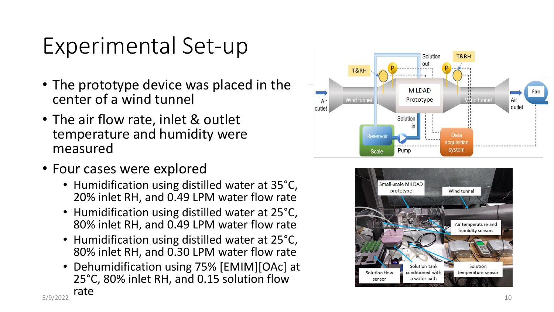#### Experimental Set -up

- The prototype device was placed in the center of a wind tunnel
- The air flow rate, inlet & outlet temperature and humidity were measured
- Four cases were explored
	- Humidification using distilled water at 35 °C, 20% inlet RH, and 0.49 LPM water flow rate
	- Humidification using distilled water at 25 °C, 80% inlet RH, and 0.49 LPM water flow rate
	- Humidification using distilled water at 25 °C, 80% inlet RH, and 0.30 LPM water flow rate
	- Dehumidification using 75% [EMIM][OAc] at 25 °C, 80% inlet RH, and 0.15 solution flow



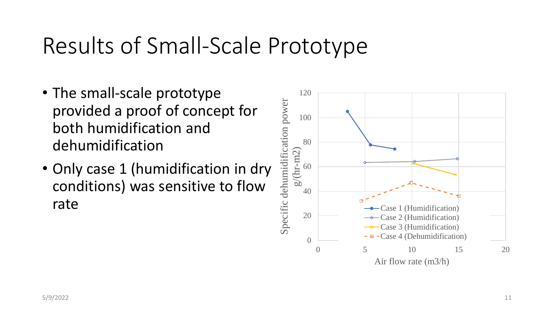#### Results of Small-Scale Prototype

- The small-scale prototype provided a proof of concept for both humidification and dehumidification
- Only case 1 (humidification in dry conditions) was sensitive to flow rate

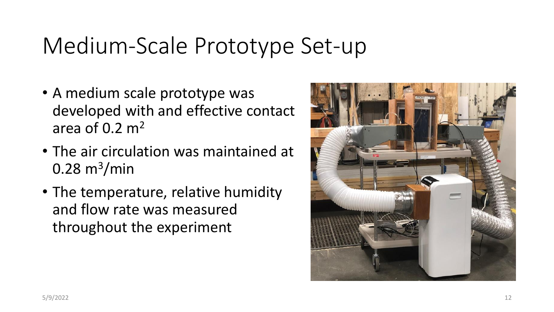#### Medium-Scale Prototype Set-up

- A medium scale prototype was developed with and effective contact area of  $0.2 \text{ m}^2$
- The air circulation was maintained at  $0.28\ \text{m}^3/\text{min}$
- The temperature, relative humidity and flow rate was measured throughout the experiment

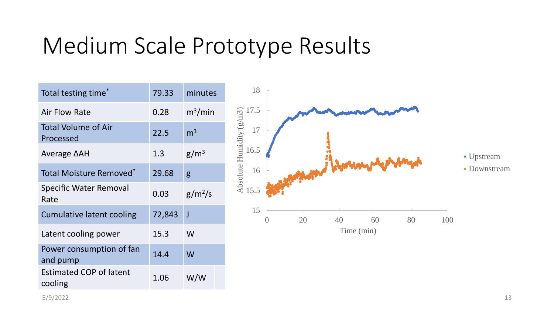#### Medium Scale Prototype Results

| Total testing time <sup>*</sup>           | 79.33  | minutes                     |
|-------------------------------------------|--------|-----------------------------|
| <b>Air Flow Rate</b>                      | 0.28   | $\mathrm{m}^3/\mathrm{min}$ |
| <b>Total Volume of Air</b><br>Processed   | 22.5   | m <sup>3</sup>              |
| Average ∆AH                               | 1.3    | $g/m^3$                     |
| Total Moisture Removed <sup>*</sup>       | 29.68  | g                           |
| <b>Specific Water Removal</b><br>Rate     | 0.03   | $g/m^2/s$                   |
| <b>Cumulative latent cooling</b>          | 72,843 | J                           |
| Latent cooling power                      | 15.3   | W                           |
| Power consumption of fan<br>and pump      | 14.4   | W                           |
| <b>Estimated COP of latent</b><br>cooling | 1.06   | W/W                         |

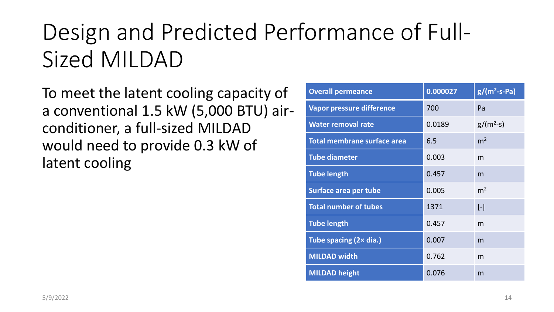# Design and Predicted Performance of Full-Sized MILDAD

To meet the latent cooling capacity of a conventional 1.5 kW (5,000 BTU) airconditioner, a full-sized MILDAD would need to provide 0.3 kW of latent cooling

| <b>Overall permeance</b>         | 0.000027 | $g/(m^2-s-Pa)$ |
|----------------------------------|----------|----------------|
| <b>Vapor pressure difference</b> | 700      | Pa             |
| <b>Water removal rate</b>        | 0.0189   | $g/(m^2-s)$    |
| Total membrane surface area      | 6.5      | m <sup>2</sup> |
| <b>Tube diameter</b>             | 0.003    | m              |
| <b>Tube length</b>               | 0.457    | m              |
| Surface area per tube            | 0.005    | m <sup>2</sup> |
| <b>Total number of tubes</b>     | 1371     | $[\cdot]$      |
| <b>Tube length</b>               | 0.457    | m              |
| Tube spacing (2x dia.)           | 0.007    | m              |
| <b>MILDAD width</b>              | 0.762    | m              |
| <b>MILDAD height</b>             | 0.076    | m              |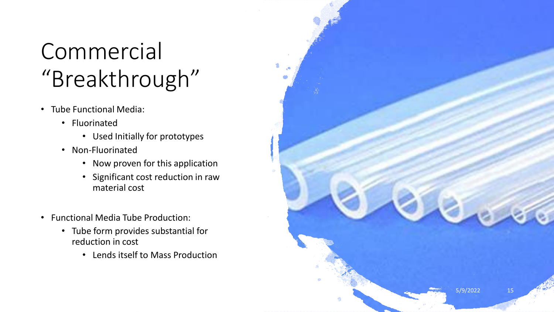# Commercial "Breakthrough"

- Tube Functional Media:
	- Fluorinated
		- Used Initially for prototypes
	- Non-Fluorinated
		- Now proven for this application
		- Significant cost reduction in raw material cost
- Functional Media Tube Production:
	- Tube form provides substantial for reduction in cost
		- Lends itself to Mass Production

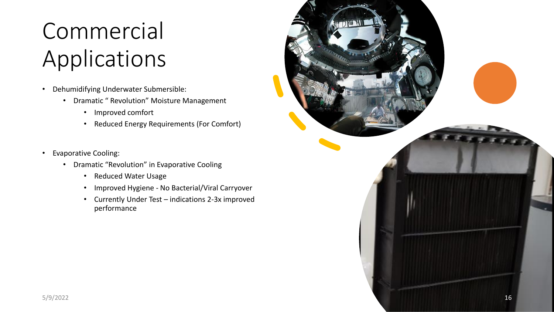# Commercial Applications

- Dehumidifying Underwater Submersible:
	- Dramatic " Revolution" Moisture Management
		- Improved comfort
		- Reduced Energy Requirements (For Comfort)
- Evaporative Cooling:
	- Dramatic "Revolution" in Evaporative Cooling
		- Reduced Water Usage
		- Improved Hygiene No Bacterial/Viral Carryover
		- Currently Under Test indications 2-3x improved performance

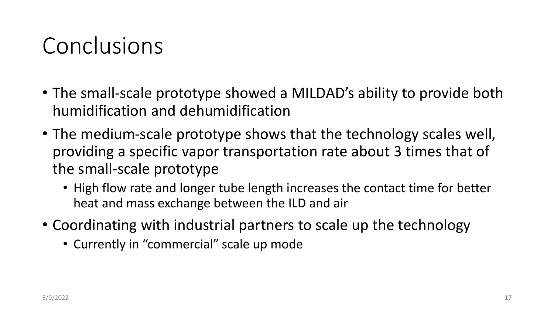#### Conclusions

- The small-scale prototype showed a MILDAD's ability to provide both humidification and dehumidification
- The medium-scale prototype shows that the technology scales well, providing a specific vapor transportation rate about 3 times that of the small-scale prototype
	- High flow rate and longer tube length increases the contact time for better heat and mass exchange between the ILD and air
- Coordinating with industrial partners to scale up the technology
	- Currently in "commercial" scale up mode